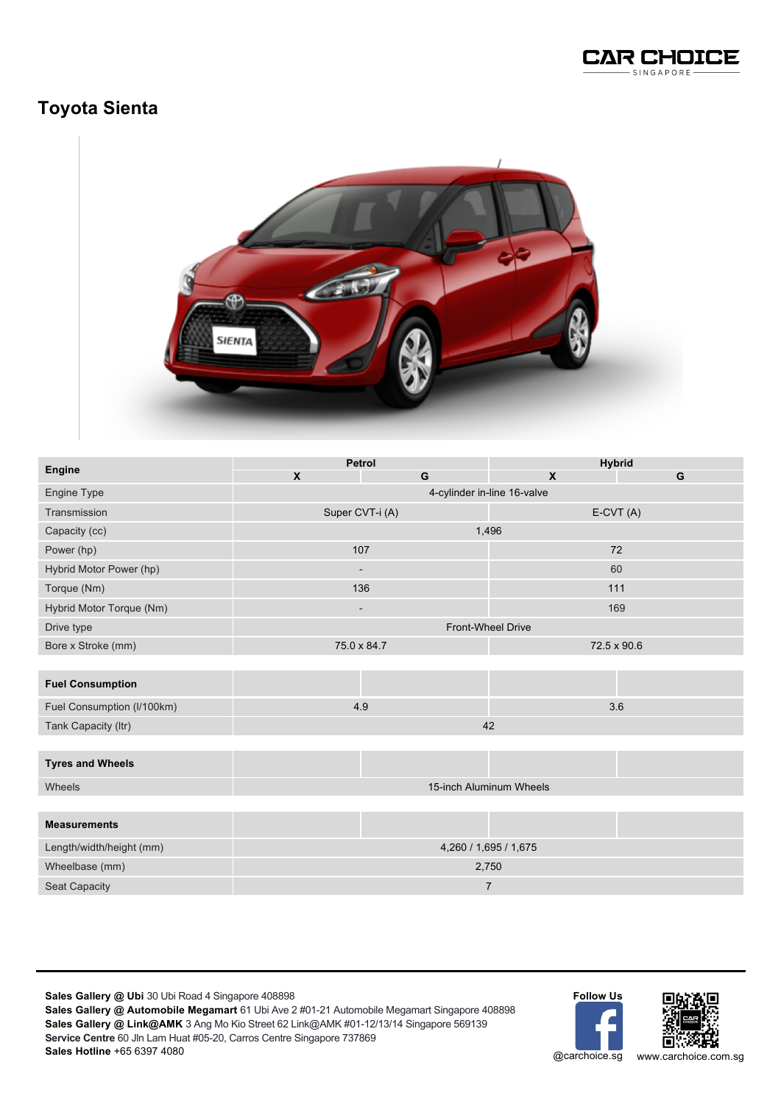

## **Toyota Sienta**



| Engine                     | Petrol                      |   | <b>Hybrid</b> |     |  |
|----------------------------|-----------------------------|---|---------------|-----|--|
|                            | $\boldsymbol{\mathsf{X}}$   | G | X             | G   |  |
| Engine Type                | 4-cylinder in-line 16-valve |   |               |     |  |
| Transmission               | Super CVT-i (A)             |   | $E-CVT(A)$    |     |  |
| Capacity (cc)              | 1,496                       |   |               |     |  |
| Power (hp)                 | 107                         |   | 72            |     |  |
| Hybrid Motor Power (hp)    | $\overline{\phantom{a}}$    |   | 60            |     |  |
| Torque (Nm)                | 136                         |   | 111           |     |  |
| Hybrid Motor Torque (Nm)   | $\overline{\phantom{a}}$    |   |               | 169 |  |
| Drive type                 | Front-Wheel Drive           |   |               |     |  |
| Bore x Stroke (mm)         | 75.0 x 84.7                 |   | 72.5 x 90.6   |     |  |
|                            |                             |   |               |     |  |
| <b>Fuel Consumption</b>    |                             |   |               |     |  |
| Fuel Consumption (I/100km) | 4.9                         |   | 3.6           |     |  |
| Tank Capacity (Itr)        | 42                          |   |               |     |  |
|                            |                             |   |               |     |  |
| <b>Tyres and Wheels</b>    |                             |   |               |     |  |
| Wheels                     | 15-inch Aluminum Wheels     |   |               |     |  |
|                            |                             |   |               |     |  |
| <b>Measurements</b>        |                             |   |               |     |  |
| Length/width/height (mm)   | 4,260 / 1,695 / 1,675       |   |               |     |  |
| Wheelbase (mm)             | 2,750                       |   |               |     |  |
| Seat Capacity              | 7                           |   |               |     |  |

**Sales Gallery @ Ubi** 30 Ubi Road 4 Singapore 408898

**Sales Gallery @ Automobile Megamart** 61 Ubi Ave 2 #01-21 Automobile Megamart Singapore 408898 **Sales Gallery @ Link@AMK** 3 Ang Mo Kio Street 62 Link@AMK #01-12/13/14 Singapore 569139 **Service Centre** 60 Jln Lam Huat #05-20, Carros Centre Singapore 737869 **Sales Hotline** +65 6397 4080